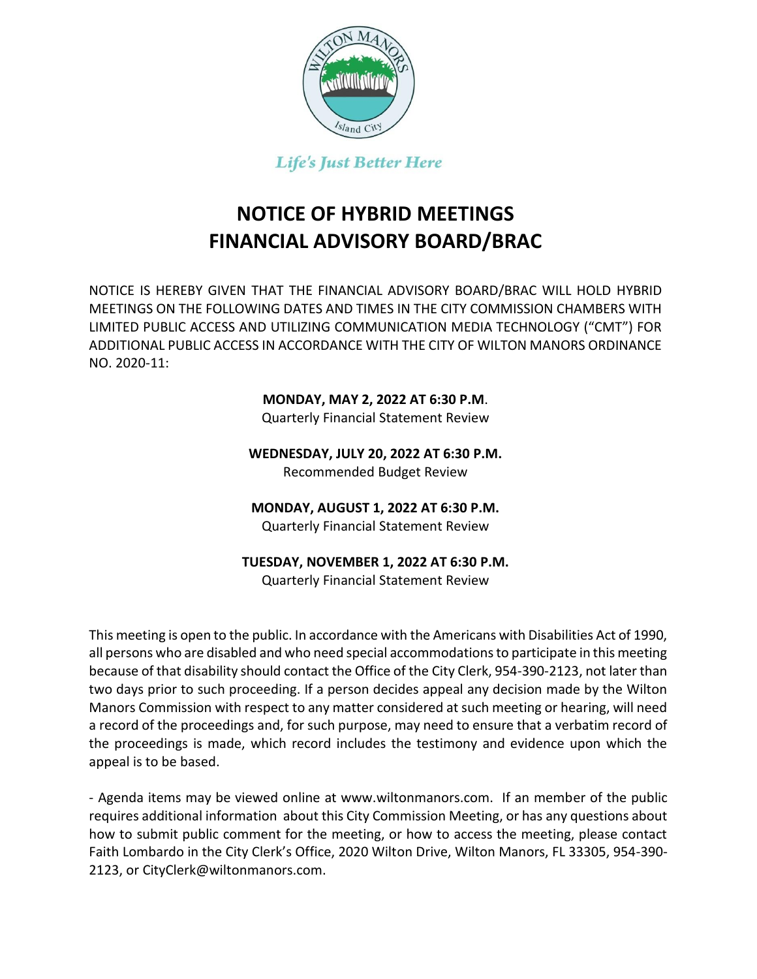

**Life's Just Better Here** 

# **NOTICE OF HYBRID MEETINGS FINANCIAL ADVISORY BOARD/BRAC**

NOTICE IS HEREBY GIVEN THAT THE FINANCIAL ADVISORY BOARD/BRAC WILL HOLD HYBRID MEETINGS ON THE FOLLOWING DATES AND TIMES IN THE CITY COMMISSION CHAMBERS WITH LIMITED PUBLIC ACCESS AND UTILIZING COMMUNICATION MEDIA TECHNOLOGY ("CMT") FOR ADDITIONAL PUBLIC ACCESS IN ACCORDANCE WITH THE CITY OF WILTON MANORS ORDINANCE NO. 2020-11:

**MONDAY, MAY 2, 2022 AT 6:30 P.M**.

Quarterly Financial Statement Review

**WEDNESDAY, JULY 20, 2022 AT 6:30 P.M.** Recommended Budget Review

**MONDAY, AUGUST 1, 2022 AT 6:30 P.M.** 

Quarterly Financial Statement Review

**TUESDAY, NOVEMBER 1, 2022 AT 6:30 P.M.** 

Quarterly Financial Statement Review

This meeting is open to the public. In accordance with the Americans with Disabilities Act of 1990, all persons who are disabled and who need special accommodations to participate in this meeting because of that disability should contact the Office of the City Clerk, 954-390-2123, not later than two days prior to such proceeding. If a person decides appeal any decision made by the Wilton Manors Commission with respect to any matter considered at such meeting or hearing, will need a record of the proceedings and, for such purpose, may need to ensure that a verbatim record of the proceedings is made, which record includes the testimony and evidence upon which the appeal is to be based.

- Agenda items may be viewed online at www.wiltonmanors.com. If an member of the public requires additional information about this City Commission Meeting, or has any questions about how to submit public comment for the meeting, or how to access the meeting, please contact Faith Lombardo in the City Clerk's Office, 2020 Wilton Drive, Wilton Manors, FL 33305, 954-390- 2123, or CityClerk@wiltonmanors.com.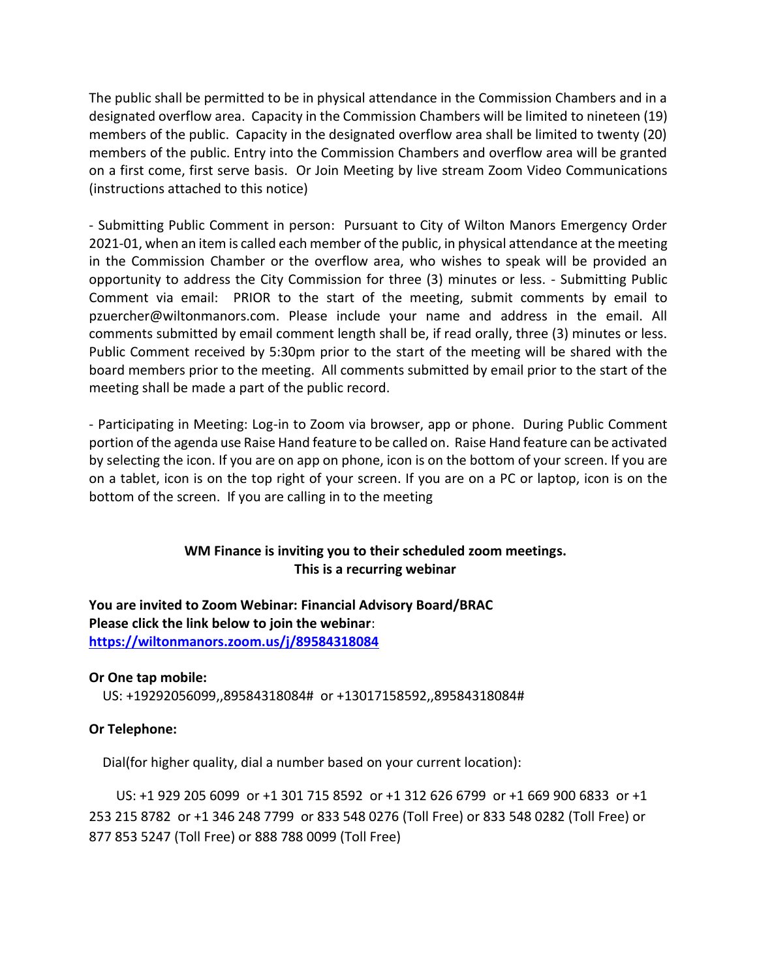The public shall be permitted to be in physical attendance in the Commission Chambers and in a designated overflow area. Capacity in the Commission Chambers will be limited to nineteen (19) members of the public. Capacity in the designated overflow area shall be limited to twenty (20) members of the public. Entry into the Commission Chambers and overflow area will be granted on a first come, first serve basis. Or Join Meeting by live stream Zoom Video Communications (instructions attached to this notice)

- Submitting Public Comment in person: Pursuant to City of Wilton Manors Emergency Order 2021-01, when an item is called each member of the public, in physical attendance at the meeting in the Commission Chamber or the overflow area, who wishes to speak will be provided an opportunity to address the City Commission for three (3) minutes or less. - Submitting Public Comment via email: PRIOR to the start of the meeting, submit comments by email to pzuercher@wiltonmanors.com. Please include your name and address in the email. All comments submitted by email comment length shall be, if read orally, three (3) minutes or less. Public Comment received by 5:30pm prior to the start of the meeting will be shared with the board members prior to the meeting. All comments submitted by email prior to the start of the meeting shall be made a part of the public record.

- Participating in Meeting: Log-in to Zoom via browser, app or phone. During Public Comment portion of the agenda use Raise Hand feature to be called on. Raise Hand feature can be activated by selecting the icon. If you are on app on phone, icon is on the bottom of your screen. If you are on a tablet, icon is on the top right of your screen. If you are on a PC or laptop, icon is on the bottom of the screen. If you are calling in to the meeting

### **WM Finance is inviting you to their scheduled zoom meetings. This is a recurring webinar**

**You are invited to Zoom Webinar: Financial Advisory Board/BRAC Please click the link below to join the webinar**: **<https://wiltonmanors.zoom.us/j/89584318084>**

#### **Or One tap mobile:**

US: +19292056099,,89584318084# or +13017158592,,89584318084#

#### **Or Telephone:**

Dial(for higher quality, dial a number based on your current location):

 US: +1 929 205 6099 or +1 301 715 8592 or +1 312 626 6799 or +1 669 900 6833 or +1 253 215 8782 or +1 346 248 7799 or 833 548 0276 (Toll Free) or 833 548 0282 (Toll Free) or 877 853 5247 (Toll Free) or 888 788 0099 (Toll Free)